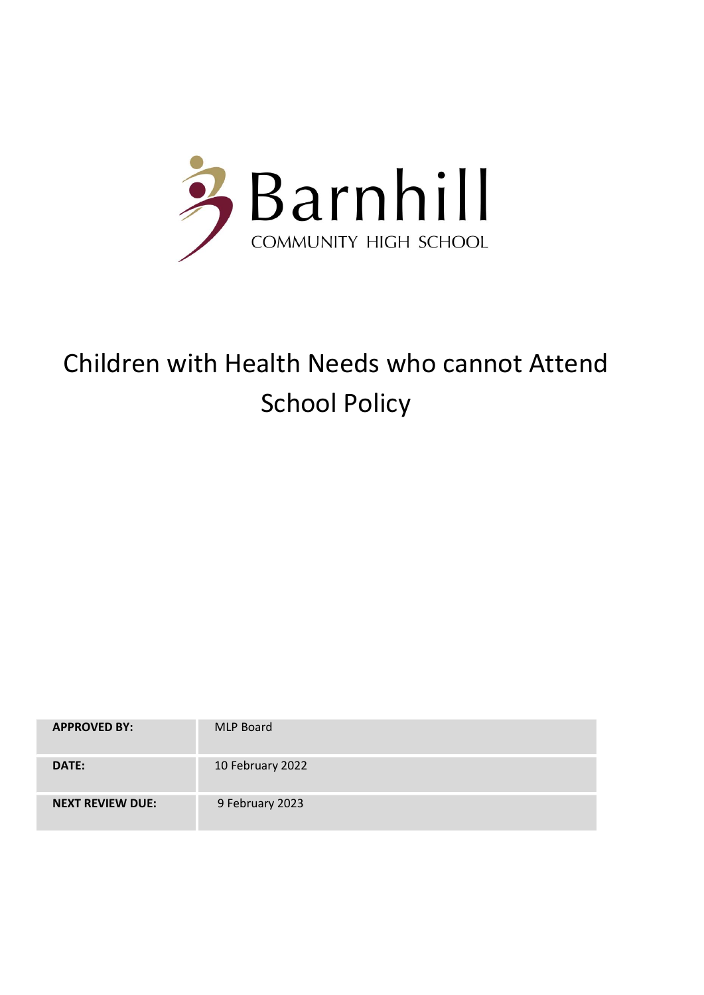

# Children with Health Needs who cannot Attend School Policy

| <b>APPROVED BY:</b>     | <b>MLP Board</b> |
|-------------------------|------------------|
| DATE:                   | 10 February 2022 |
| <b>NEXT REVIEW DUE:</b> | 9 February 2023  |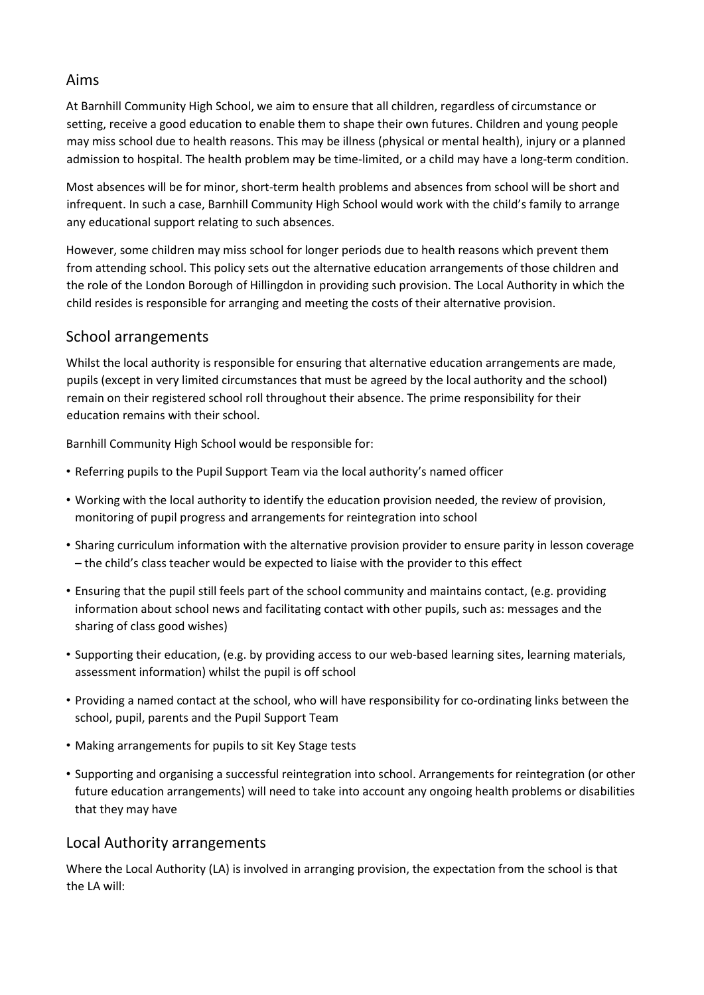### Aims

At Barnhill Community High School, we aim to ensure that all children, regardless of circumstance or setting, receive a good education to enable them to shape their own futures. Children and young people may miss school due to health reasons. This may be illness (physical or mental health), injury or a planned admission to hospital. The health problem may be time-limited, or a child may have a long-term condition.

Most absences will be for minor, short-term health problems and absences from school will be short and infrequent. In such a case, Barnhill Community High School would work with the child's family to arrange any educational support relating to such absences.

However, some children may miss school for longer periods due to health reasons which prevent them from attending school. This policy sets out the alternative education arrangements of those children and the role of the London Borough of Hillingdon in providing such provision. The Local Authority in which the child resides is responsible for arranging and meeting the costs of their alternative provision.

### School arrangements

Whilst the local authority is responsible for ensuring that alternative education arrangements are made, pupils (except in very limited circumstances that must be agreed by the local authority and the school) remain on their registered school roll throughout their absence. The prime responsibility for their education remains with their school.

Barnhill Community High School would be responsible for:

- Referring pupils to the Pupil Support Team via the local authority's named officer
- Working with the local authority to identify the education provision needed, the review of provision, monitoring of pupil progress and arrangements for reintegration into school
- Sharing curriculum information with the alternative provision provider to ensure parity in lesson coverage – the child's class teacher would be expected to liaise with the provider to this effect
- Ensuring that the pupil still feels part of the school community and maintains contact, (e.g. providing information about school news and facilitating contact with other pupils, such as: messages and the sharing of class good wishes)
- Supporting their education, (e.g. by providing access to our web-based learning sites, learning materials, assessment information) whilst the pupil is off school
- Providing a named contact at the school, who will have responsibility for co-ordinating links between the school, pupil, parents and the Pupil Support Team
- Making arrangements for pupils to sit Key Stage tests
- Supporting and organising a successful reintegration into school. Arrangements for reintegration (or other future education arrangements) will need to take into account any ongoing health problems or disabilities that they may have

## Local Authority arrangements

Where the Local Authority (LA) is involved in arranging provision, the expectation from the school is that the LA will: